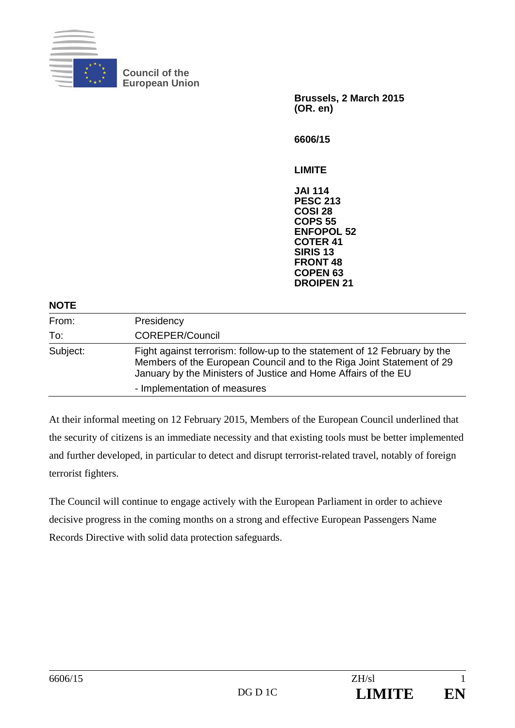

**Council of the European Union** 

> **Brussels, 2 March 2015 (OR. en)**

**6606/15** 

**LIMITE** 

**JAI 114 PESC 213 COSI 28 COPS 55 ENFOPOL 52 COTER 41 SIRIS 13 FRONT 48 COPEN 63 DROIPEN 21** 

| <b>NOTE</b> |                                                                                                                                                                                                                                                      |
|-------------|------------------------------------------------------------------------------------------------------------------------------------------------------------------------------------------------------------------------------------------------------|
| From:       | Presidency                                                                                                                                                                                                                                           |
| To:         | <b>COREPER/Council</b>                                                                                                                                                                                                                               |
| Subject:    | Fight against terrorism: follow-up to the statement of 12 February by the<br>Members of the European Council and to the Riga Joint Statement of 29<br>January by the Ministers of Justice and Home Affairs of the EU<br>- Implementation of measures |

At their informal meeting on 12 February 2015, Members of the European Council underlined that the security of citizens is an immediate necessity and that existing tools must be better implemented and further developed, in particular to detect and disrupt terrorist-related travel, notably of foreign terrorist fighters.

The Council will continue to engage actively with the European Parliament in order to achieve decisive progress in the coming months on a strong and effective European Passengers Name Records Directive with solid data protection safeguards.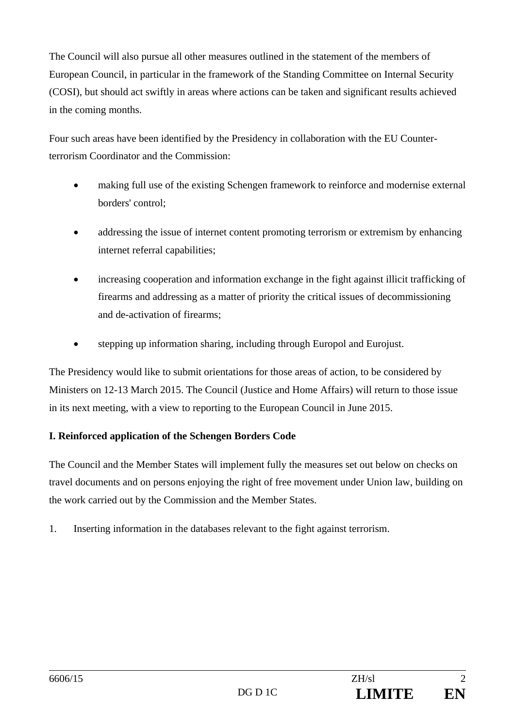The Council will also pursue all other measures outlined in the statement of the members of European Council, in particular in the framework of the Standing Committee on Internal Security (COSI), but should act swiftly in areas where actions can be taken and significant results achieved in the coming months.

Four such areas have been identified by the Presidency in collaboration with the EU Counterterrorism Coordinator and the Commission:

- making full use of the existing Schengen framework to reinforce and modernise external borders' control;
- addressing the issue of internet content promoting terrorism or extremism by enhancing internet referral capabilities;
- increasing cooperation and information exchange in the fight against illicit trafficking of firearms and addressing as a matter of priority the critical issues of decommissioning and de-activation of firearms;
- stepping up information sharing, including through Europol and Eurojust.

The Presidency would like to submit orientations for those areas of action, to be considered by Ministers on 12-13 March 2015. The Council (Justice and Home Affairs) will return to those issue in its next meeting, with a view to reporting to the European Council in June 2015.

## **I. Reinforced application of the Schengen Borders Code**

The Council and the Member States will implement fully the measures set out below on checks on travel documents and on persons enjoying the right of free movement under Union law, building on the work carried out by the Commission and the Member States.

1. Inserting information in the databases relevant to the fight against terrorism.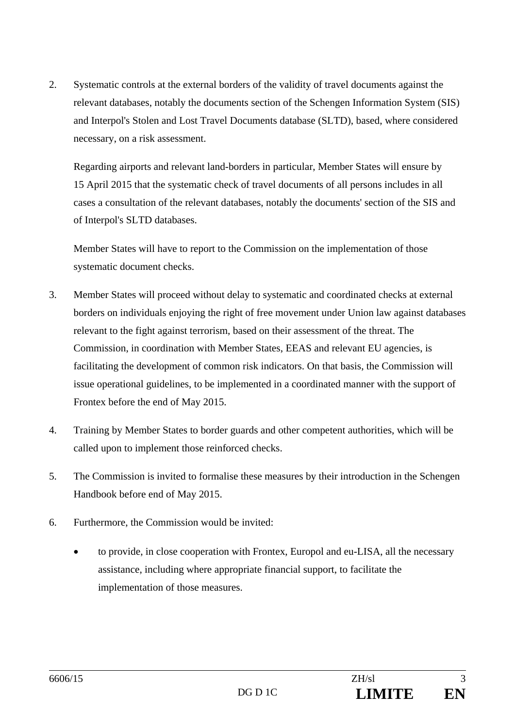2. Systematic controls at the external borders of the validity of travel documents against the relevant databases, notably the documents section of the Schengen Information System (SIS) and Interpol's Stolen and Lost Travel Documents database (SLTD), based, where considered necessary, on a risk assessment.

Regarding airports and relevant land-borders in particular, Member States will ensure by 15 April 2015 that the systematic check of travel documents of all persons includes in all cases a consultation of the relevant databases, notably the documents' section of the SIS and of Interpol's SLTD databases.

Member States will have to report to the Commission on the implementation of those systematic document checks.

- 3. Member States will proceed without delay to systematic and coordinated checks at external borders on individuals enjoying the right of free movement under Union law against databases relevant to the fight against terrorism, based on their assessment of the threat. The Commission, in coordination with Member States, EEAS and relevant EU agencies, is facilitating the development of common risk indicators. On that basis, the Commission will issue operational guidelines, to be implemented in a coordinated manner with the support of Frontex before the end of May 2015.
- 4. Training by Member States to border guards and other competent authorities, which will be called upon to implement those reinforced checks.
- 5. The Commission is invited to formalise these measures by their introduction in the Schengen Handbook before end of May 2015.
- 6. Furthermore, the Commission would be invited:
	- to provide, in close cooperation with Frontex, Europol and eu-LISA, all the necessary assistance, including where appropriate financial support, to facilitate the implementation of those measures.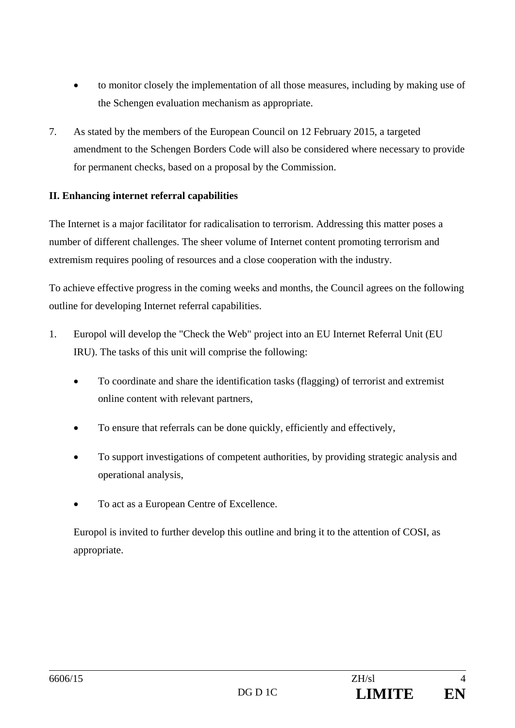- to monitor closely the implementation of all those measures, including by making use of the Schengen evaluation mechanism as appropriate.
- 7. As stated by the members of the European Council on 12 February 2015, a targeted amendment to the Schengen Borders Code will also be considered where necessary to provide for permanent checks, based on a proposal by the Commission.

## **II. Enhancing internet referral capabilities**

The Internet is a major facilitator for radicalisation to terrorism. Addressing this matter poses a number of different challenges. The sheer volume of Internet content promoting terrorism and extremism requires pooling of resources and a close cooperation with the industry.

To achieve effective progress in the coming weeks and months, the Council agrees on the following outline for developing Internet referral capabilities.

- 1. Europol will develop the "Check the Web" project into an EU Internet Referral Unit (EU IRU). The tasks of this unit will comprise the following:
	- To coordinate and share the identification tasks (flagging) of terrorist and extremist online content with relevant partners,
	- To ensure that referrals can be done quickly, efficiently and effectively,
	- To support investigations of competent authorities, by providing strategic analysis and operational analysis,
	- To act as a European Centre of Excellence.

Europol is invited to further develop this outline and bring it to the attention of COSI, as appropriate.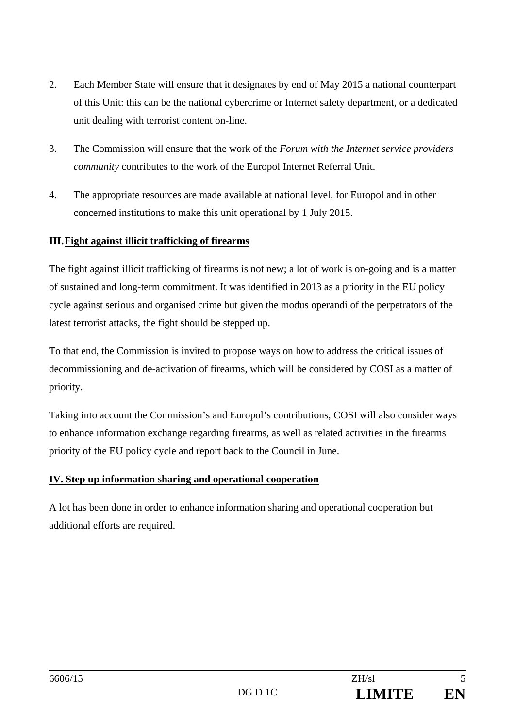- 2. Each Member State will ensure that it designates by end of May 2015 a national counterpart of this Unit: this can be the national cybercrime or Internet safety department, or a dedicated unit dealing with terrorist content on-line.
- 3. The Commission will ensure that the work of the *Forum with the Internet service providers community* contributes to the work of the Europol Internet Referral Unit.
- 4. The appropriate resources are made available at national level, for Europol and in other concerned institutions to make this unit operational by 1 July 2015.

## **III. Fight against illicit trafficking of firearms**

The fight against illicit trafficking of firearms is not new; a lot of work is on-going and is a matter of sustained and long-term commitment. It was identified in 2013 as a priority in the EU policy cycle against serious and organised crime but given the modus operandi of the perpetrators of the latest terrorist attacks, the fight should be stepped up.

To that end, the Commission is invited to propose ways on how to address the critical issues of decommissioning and de-activation of firearms, which will be considered by COSI as a matter of priority.

Taking into account the Commission's and Europol's contributions, COSI will also consider ways to enhance information exchange regarding firearms, as well as related activities in the firearms priority of the EU policy cycle and report back to the Council in June.

## **IV. Step up information sharing and operational cooperation**

A lot has been done in order to enhance information sharing and operational cooperation but additional efforts are required.